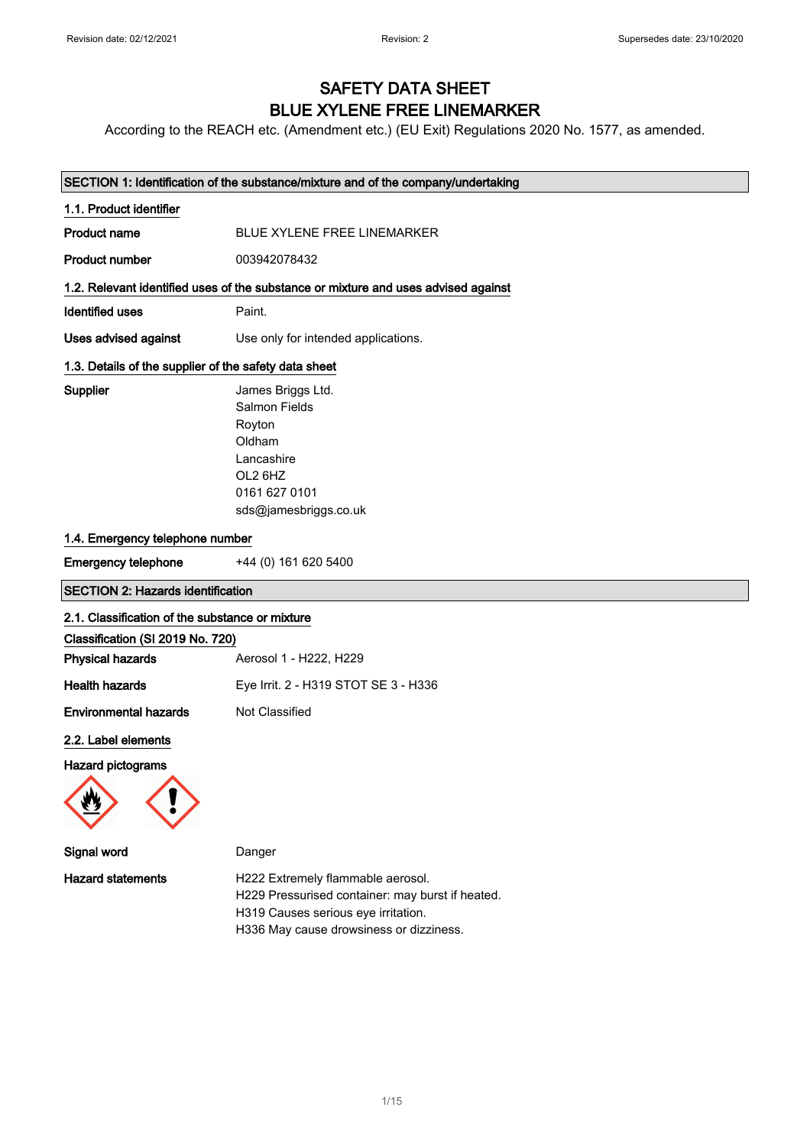## SAFETY DATA SHEET BLUE XYLENE FREE LINEMARKER

According to the REACH etc. (Amendment etc.) (EU Exit) Regulations 2020 No. 1577, as amended.

|                                                       | SECTION 1: Identification of the substance/mixture and of the company/undertaking                                                |
|-------------------------------------------------------|----------------------------------------------------------------------------------------------------------------------------------|
| 1.1. Product identifier                               |                                                                                                                                  |
| <b>Product name</b>                                   | BLUE XYLENE FREE LINEMARKER                                                                                                      |
| <b>Product number</b>                                 | 003942078432                                                                                                                     |
|                                                       | 1.2. Relevant identified uses of the substance or mixture and uses advised against                                               |
| <b>Identified uses</b>                                | Paint.                                                                                                                           |
| <b>Uses advised against</b>                           | Use only for intended applications.                                                                                              |
| 1.3. Details of the supplier of the safety data sheet |                                                                                                                                  |
| Supplier                                              | James Briggs Ltd.<br><b>Salmon Fields</b><br>Royton<br>Oldham<br>Lancashire<br>OL2 6HZ<br>0161 627 0101<br>sds@jamesbriggs.co.uk |
| 1.4. Emergency telephone number                       |                                                                                                                                  |
| <b>Emergency telephone</b>                            | +44 (0) 161 620 5400                                                                                                             |
| <b>SECTION 2: Hazards identification</b>              |                                                                                                                                  |
| 2.1. Classification of the substance or mixture       |                                                                                                                                  |
| Classification (SI 2019 No. 720)                      |                                                                                                                                  |
| <b>Physical hazards</b>                               | Aerosol 1 - H222, H229                                                                                                           |
| <b>Health hazards</b>                                 | Eye Irrit. 2 - H319 STOT SE 3 - H336                                                                                             |
| <b>Environmental hazards</b>                          | Not Classified                                                                                                                   |
| 2.2. Label elements                                   |                                                                                                                                  |
| <b>Hazard pictograms</b>                              |                                                                                                                                  |
| Signal word                                           | Danger                                                                                                                           |
| <b>Hazard statements</b>                              | H222 Extremely flammable aerosol.<br>H229 Pressurised container: may burst if heated.<br>H319 Causes serious eye irritation.     |

H336 May cause drowsiness or dizziness.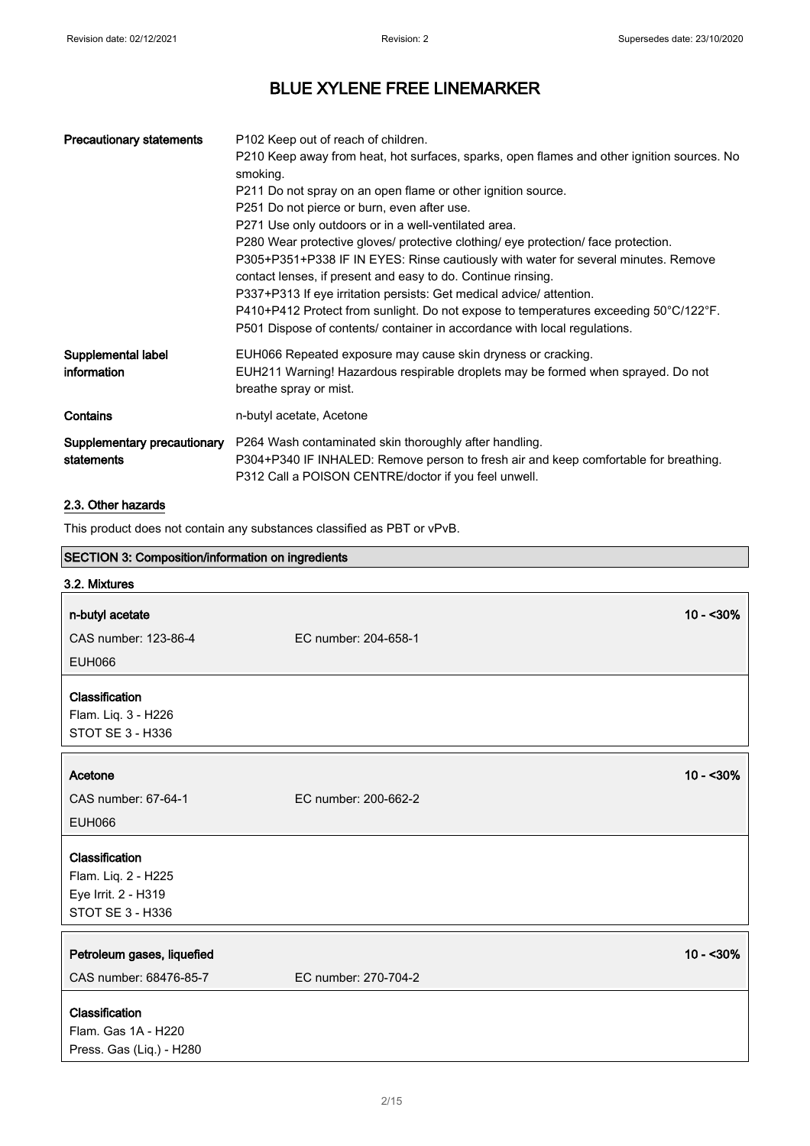| <b>Precautionary statements</b>           | P <sub>102</sub> Keep out of reach of children.<br>P210 Keep away from heat, hot surfaces, sparks, open flames and other ignition sources. No<br>smoking.<br>P211 Do not spray on an open flame or other ignition source.<br>P251 Do not pierce or burn, even after use.<br>P271 Use only outdoors or in a well-ventilated area.<br>P280 Wear protective gloves/ protective clothing/ eye protection/ face protection.<br>P305+P351+P338 IF IN EYES: Rinse cautiously with water for several minutes. Remove<br>contact lenses, if present and easy to do. Continue rinsing.<br>P337+P313 If eye irritation persists: Get medical advice/ attention.<br>P410+P412 Protect from sunlight. Do not expose to temperatures exceeding 50°C/122°F.<br>P501 Dispose of contents/ container in accordance with local regulations. |
|-------------------------------------------|---------------------------------------------------------------------------------------------------------------------------------------------------------------------------------------------------------------------------------------------------------------------------------------------------------------------------------------------------------------------------------------------------------------------------------------------------------------------------------------------------------------------------------------------------------------------------------------------------------------------------------------------------------------------------------------------------------------------------------------------------------------------------------------------------------------------------|
| Supplemental label<br>information         | EUH066 Repeated exposure may cause skin dryness or cracking.<br>EUH211 Warning! Hazardous respirable droplets may be formed when sprayed. Do not<br>breathe spray or mist.                                                                                                                                                                                                                                                                                                                                                                                                                                                                                                                                                                                                                                                |
| Contains                                  | n-butyl acetate, Acetone                                                                                                                                                                                                                                                                                                                                                                                                                                                                                                                                                                                                                                                                                                                                                                                                  |
| Supplementary precautionary<br>statements | P264 Wash contaminated skin thoroughly after handling.<br>P304+P340 IF INHALED: Remove person to fresh air and keep comfortable for breathing.<br>P312 Call a POISON CENTRE/doctor if you feel unwell.                                                                                                                                                                                                                                                                                                                                                                                                                                                                                                                                                                                                                    |

## 2.3. Other hazards

This product does not contain any substances classified as PBT or vPvB.

| SECTION 3: Composition/information on ingredients                                       |                      |            |
|-----------------------------------------------------------------------------------------|----------------------|------------|
| 3.2. Mixtures                                                                           |                      |            |
| n-butyl acetate                                                                         |                      | $10 - 30%$ |
| CAS number: 123-86-4                                                                    | EC number: 204-658-1 |            |
| <b>EUH066</b>                                                                           |                      |            |
| Classification<br>Flam. Liq. 3 - H226<br><b>STOT SE 3 - H336</b>                        |                      |            |
| Acetone                                                                                 |                      | $10 - 30%$ |
| CAS number: 67-64-1                                                                     | EC number: 200-662-2 |            |
| <b>EUH066</b>                                                                           |                      |            |
| Classification<br>Flam. Liq. 2 - H225<br>Eye Irrit. 2 - H319<br><b>STOT SE 3 - H336</b> |                      |            |
| Petroleum gases, liquefied<br>CAS number: 68476-85-7                                    | EC number: 270-704-2 | $10 - 30%$ |
| Classification<br>Flam. Gas 1A - H220<br>Press. Gas (Liq.) - H280                       |                      |            |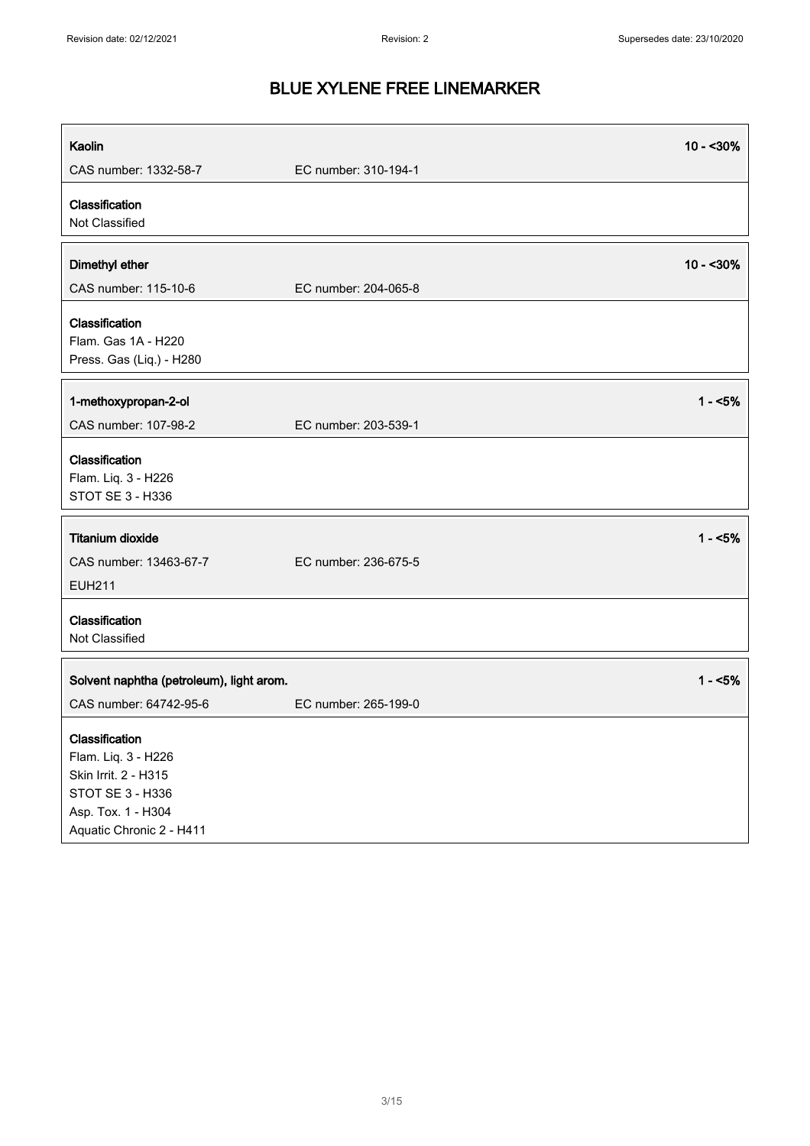| Kaolin                                                                                                                              |                      | $10 - 30%$ |
|-------------------------------------------------------------------------------------------------------------------------------------|----------------------|------------|
| CAS number: 1332-58-7                                                                                                               | EC number: 310-194-1 |            |
| Classification<br>Not Classified                                                                                                    |                      |            |
| Dimethyl ether                                                                                                                      |                      | $10 - 30%$ |
| CAS number: 115-10-6                                                                                                                | EC number: 204-065-8 |            |
| Classification<br>Flam. Gas 1A - H220<br>Press. Gas (Liq.) - H280                                                                   |                      |            |
| 1-methoxypropan-2-ol                                                                                                                |                      | $1 - 5%$   |
| CAS number: 107-98-2                                                                                                                | EC number: 203-539-1 |            |
| Classification<br>Flam. Liq. 3 - H226<br>STOT SE 3 - H336                                                                           |                      |            |
| <b>Titanium dioxide</b>                                                                                                             |                      | $1 - 5%$   |
| CAS number: 13463-67-7<br><b>EUH211</b>                                                                                             | EC number: 236-675-5 |            |
| Classification<br>Not Classified                                                                                                    |                      |            |
| Solvent naphtha (petroleum), light arom.                                                                                            |                      | $1 - 5%$   |
| CAS number: 64742-95-6                                                                                                              | EC number: 265-199-0 |            |
| Classification<br>Flam. Liq. 3 - H226<br>Skin Irrit. 2 - H315<br>STOT SE 3 - H336<br>Asp. Tox. 1 - H304<br>Aquatic Chronic 2 - H411 |                      |            |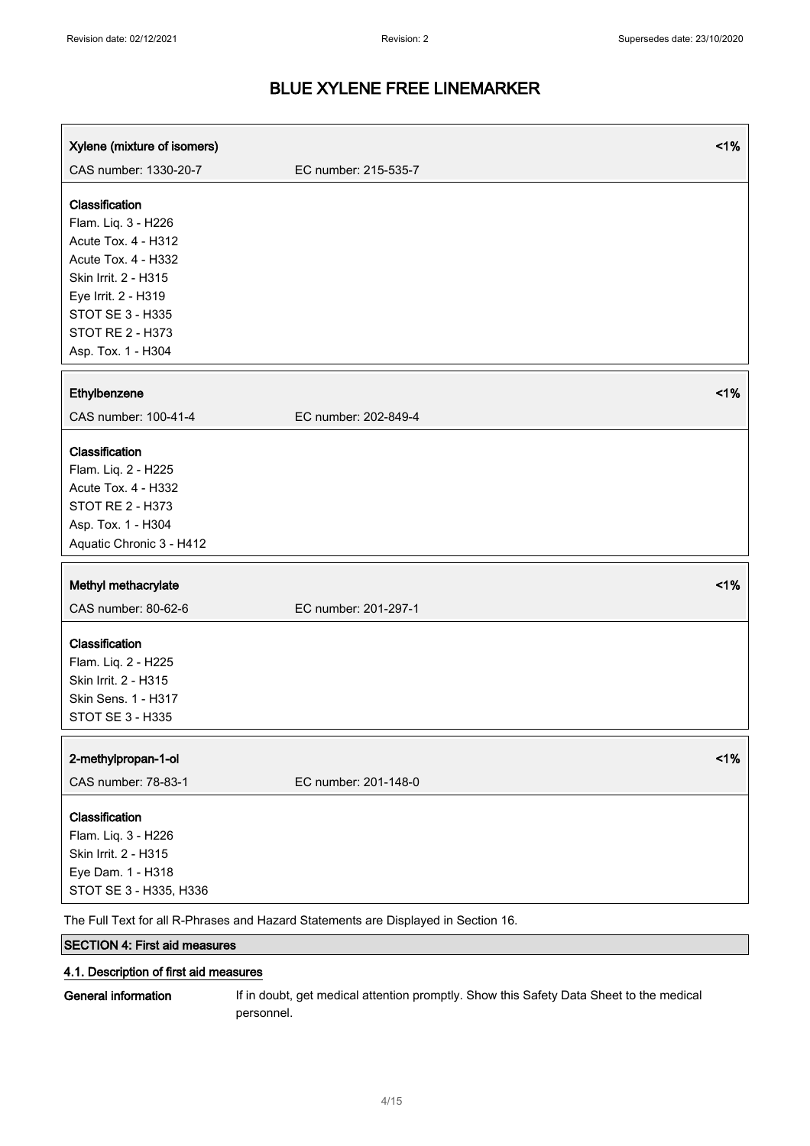| Xylene (mixture of isomers)                                                                                                                                                                             |                      | 1% |
|---------------------------------------------------------------------------------------------------------------------------------------------------------------------------------------------------------|----------------------|----|
| CAS number: 1330-20-7                                                                                                                                                                                   | EC number: 215-535-7 |    |
| Classification<br>Flam. Liq. 3 - H226<br>Acute Tox. 4 - H312<br>Acute Tox. 4 - H332<br>Skin Irrit. 2 - H315<br>Eye Irrit. 2 - H319<br>STOT SE 3 - H335<br><b>STOT RE 2 - H373</b><br>Asp. Tox. 1 - H304 |                      |    |
| Ethylbenzene                                                                                                                                                                                            |                      | 1% |
| CAS number: 100-41-4                                                                                                                                                                                    | EC number: 202-849-4 |    |
| Classification<br>Flam. Liq. 2 - H225<br>Acute Tox. 4 - H332<br><b>STOT RE 2 - H373</b><br>Asp. Tox. 1 - H304<br>Aquatic Chronic 3 - H412                                                               |                      |    |
| Methyl methacrylate<br>CAS number: 80-62-6                                                                                                                                                              | EC number: 201-297-1 | 1% |
| Classification<br>Flam. Liq. 2 - H225<br>Skin Irrit. 2 - H315<br>Skin Sens. 1 - H317<br>STOT SE 3 - H335                                                                                                |                      |    |
| 2-methylpropan-1-ol<br>CAS number: 78-83-1                                                                                                                                                              | EC number: 201-148-0 | 1% |
| Classification<br>Flam. Liq. 3 - H226<br>Skin Irrit. 2 - H315<br>Eye Dam. 1 - H318<br>STOT SE 3 - H335, H336                                                                                            |                      |    |

The Full Text for all R-Phrases and Hazard Statements are Displayed in Section 16.

### SECTION 4: First aid measures

### 4.1. Description of first aid measures

General information If in doubt, get medical attention promptly. Show this Safety Data Sheet to the medical personnel.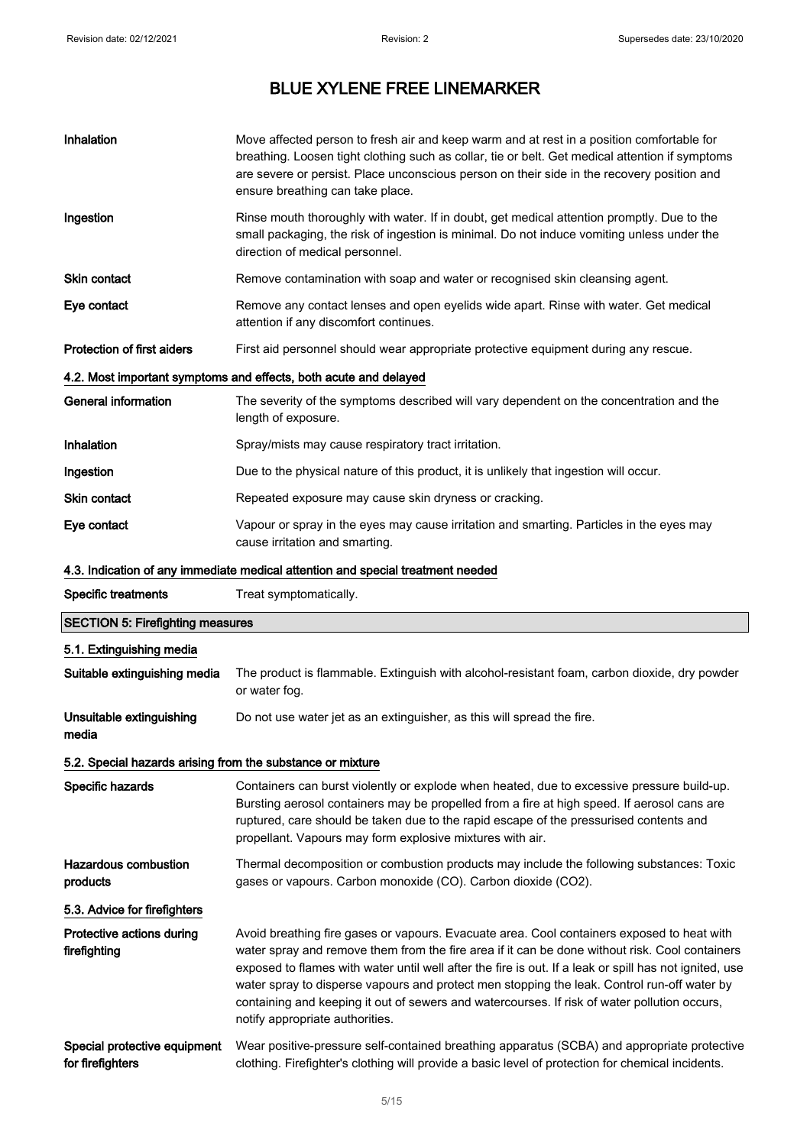| Inhalation                                                 | Move affected person to fresh air and keep warm and at rest in a position comfortable for<br>breathing. Loosen tight clothing such as collar, tie or belt. Get medical attention if symptoms<br>are severe or persist. Place unconscious person on their side in the recovery position and<br>ensure breathing can take place.                                                                                                                                                                                                           |
|------------------------------------------------------------|------------------------------------------------------------------------------------------------------------------------------------------------------------------------------------------------------------------------------------------------------------------------------------------------------------------------------------------------------------------------------------------------------------------------------------------------------------------------------------------------------------------------------------------|
| Ingestion                                                  | Rinse mouth thoroughly with water. If in doubt, get medical attention promptly. Due to the<br>small packaging, the risk of ingestion is minimal. Do not induce vomiting unless under the<br>direction of medical personnel.                                                                                                                                                                                                                                                                                                              |
| Skin contact                                               | Remove contamination with soap and water or recognised skin cleansing agent.                                                                                                                                                                                                                                                                                                                                                                                                                                                             |
| Eye contact                                                | Remove any contact lenses and open eyelids wide apart. Rinse with water. Get medical<br>attention if any discomfort continues.                                                                                                                                                                                                                                                                                                                                                                                                           |
| <b>Protection of first aiders</b>                          | First aid personnel should wear appropriate protective equipment during any rescue.                                                                                                                                                                                                                                                                                                                                                                                                                                                      |
|                                                            | 4.2. Most important symptoms and effects, both acute and delayed                                                                                                                                                                                                                                                                                                                                                                                                                                                                         |
| <b>General information</b>                                 | The severity of the symptoms described will vary dependent on the concentration and the<br>length of exposure.                                                                                                                                                                                                                                                                                                                                                                                                                           |
| Inhalation                                                 | Spray/mists may cause respiratory tract irritation.                                                                                                                                                                                                                                                                                                                                                                                                                                                                                      |
| Ingestion                                                  | Due to the physical nature of this product, it is unlikely that ingestion will occur.                                                                                                                                                                                                                                                                                                                                                                                                                                                    |
| <b>Skin contact</b>                                        | Repeated exposure may cause skin dryness or cracking.                                                                                                                                                                                                                                                                                                                                                                                                                                                                                    |
| Eye contact                                                | Vapour or spray in the eyes may cause irritation and smarting. Particles in the eyes may<br>cause irritation and smarting.                                                                                                                                                                                                                                                                                                                                                                                                               |
|                                                            | 4.3. Indication of any immediate medical attention and special treatment needed                                                                                                                                                                                                                                                                                                                                                                                                                                                          |
| <b>Specific treatments</b>                                 | Treat symptomatically.                                                                                                                                                                                                                                                                                                                                                                                                                                                                                                                   |
| <b>SECTION 5: Firefighting measures</b>                    |                                                                                                                                                                                                                                                                                                                                                                                                                                                                                                                                          |
| 5.1. Extinguishing media                                   |                                                                                                                                                                                                                                                                                                                                                                                                                                                                                                                                          |
| Suitable extinguishing media                               | The product is flammable. Extinguish with alcohol-resistant foam, carbon dioxide, dry powder                                                                                                                                                                                                                                                                                                                                                                                                                                             |
|                                                            | or water fog.                                                                                                                                                                                                                                                                                                                                                                                                                                                                                                                            |
| Unsuitable extinguishing<br>media                          | Do not use water jet as an extinguisher, as this will spread the fire.                                                                                                                                                                                                                                                                                                                                                                                                                                                                   |
| 5.2. Special hazards arising from the substance or mixture |                                                                                                                                                                                                                                                                                                                                                                                                                                                                                                                                          |
| Specific hazards                                           | Containers can burst violently or explode when heated, due to excessive pressure build-up.<br>Bursting aerosol containers may be propelled from a fire at high speed. If aerosol cans are<br>ruptured, care should be taken due to the rapid escape of the pressurised contents and<br>propellant. Vapours may form explosive mixtures with air.                                                                                                                                                                                         |
| <b>Hazardous combustion</b><br>products                    | Thermal decomposition or combustion products may include the following substances: Toxic<br>gases or vapours. Carbon monoxide (CO). Carbon dioxide (CO2).                                                                                                                                                                                                                                                                                                                                                                                |
| 5.3. Advice for firefighters                               |                                                                                                                                                                                                                                                                                                                                                                                                                                                                                                                                          |
| Protective actions during<br>firefighting                  | Avoid breathing fire gases or vapours. Evacuate area. Cool containers exposed to heat with<br>water spray and remove them from the fire area if it can be done without risk. Cool containers<br>exposed to flames with water until well after the fire is out. If a leak or spill has not ignited, use<br>water spray to disperse vapours and protect men stopping the leak. Control run-off water by<br>containing and keeping it out of sewers and watercourses. If risk of water pollution occurs,<br>notify appropriate authorities. |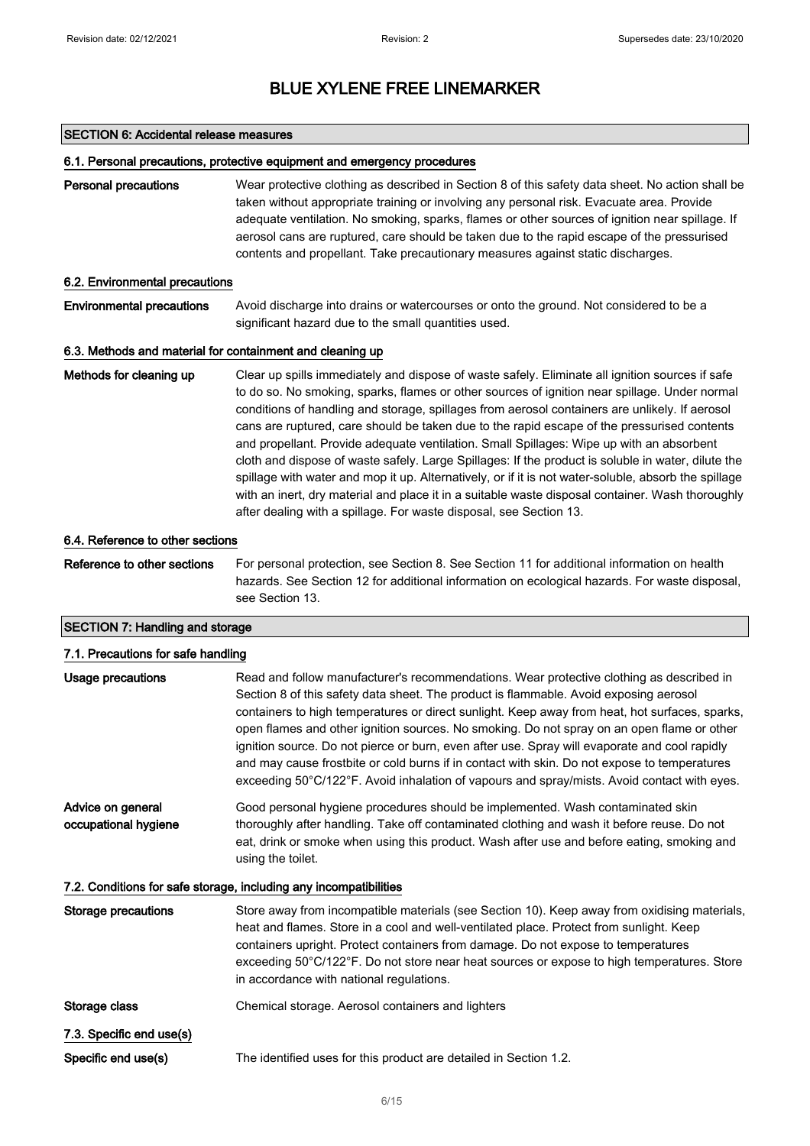#### SECTION 6: Accidental release measures

#### 6.1. Personal precautions, protective equipment and emergency procedures

Personal precautions Wear protective clothing as described in Section 8 of this safety data sheet. No action shall be taken without appropriate training or involving any personal risk. Evacuate area. Provide adequate ventilation. No smoking, sparks, flames or other sources of ignition near spillage. If aerosol cans are ruptured, care should be taken due to the rapid escape of the pressurised contents and propellant. Take precautionary measures against static discharges.

#### 6.2. Environmental precautions

Environmental precautions Avoid discharge into drains or watercourses or onto the ground. Not considered to be a significant hazard due to the small quantities used.

#### 6.3. Methods and material for containment and cleaning up

Methods for cleaning up Clear up spills immediately and dispose of waste safely. Eliminate all ignition sources if safe to do so. No smoking, sparks, flames or other sources of ignition near spillage. Under normal conditions of handling and storage, spillages from aerosol containers are unlikely. If aerosol cans are ruptured, care should be taken due to the rapid escape of the pressurised contents and propellant. Provide adequate ventilation. Small Spillages: Wipe up with an absorbent cloth and dispose of waste safely. Large Spillages: If the product is soluble in water, dilute the spillage with water and mop it up. Alternatively, or if it is not water-soluble, absorb the spillage with an inert, dry material and place it in a suitable waste disposal container. Wash thoroughly after dealing with a spillage. For waste disposal, see Section 13.

#### 6.4. Reference to other sections

Reference to other sections For personal protection, see Section 8. See Section 11 for additional information on health hazards. See Section 12 for additional information on ecological hazards. For waste disposal, see Section 13.

### SECTION 7: Handling and storage

| 7.1. Precautions for safe handling        |                                                                                                                                                                                                                                                                                                                                                                                                                                                                                                                                                                                                                                                                                   |
|-------------------------------------------|-----------------------------------------------------------------------------------------------------------------------------------------------------------------------------------------------------------------------------------------------------------------------------------------------------------------------------------------------------------------------------------------------------------------------------------------------------------------------------------------------------------------------------------------------------------------------------------------------------------------------------------------------------------------------------------|
| <b>Usage precautions</b>                  | Read and follow manufacturer's recommendations. Wear protective clothing as described in<br>Section 8 of this safety data sheet. The product is flammable. Avoid exposing aerosol<br>containers to high temperatures or direct sunlight. Keep away from heat, hot surfaces, sparks,<br>open flames and other ignition sources. No smoking. Do not spray on an open flame or other<br>ignition source. Do not pierce or burn, even after use. Spray will evaporate and cool rapidly<br>and may cause frostbite or cold burns if in contact with skin. Do not expose to temperatures<br>exceeding 50°C/122°F. Avoid inhalation of vapours and spray/mists. Avoid contact with eyes. |
| Advice on general<br>occupational hygiene | Good personal hygiene procedures should be implemented. Wash contaminated skin<br>thoroughly after handling. Take off contaminated clothing and wash it before reuse. Do not<br>eat, drink or smoke when using this product. Wash after use and before eating, smoking and<br>using the toilet.                                                                                                                                                                                                                                                                                                                                                                                   |
|                                           | 7.2. Conditions for safe storage, including any incompatibilities                                                                                                                                                                                                                                                                                                                                                                                                                                                                                                                                                                                                                 |
| <b>Storage precautions</b>                | Store away from incompatible materials (see Section 10). Keep away from oxidising materials,<br>heat and flames. Store in a cool and well-ventilated place. Protect from sunlight. Keep<br>containers upright. Protect containers from damage. Do not expose to temperatures<br>exceeding 50°C/122°F. Do not store near heat sources or expose to high temperatures. Store<br>in accordance with national regulations.                                                                                                                                                                                                                                                            |
| Storage class                             | Chemical storage. Aerosol containers and lighters                                                                                                                                                                                                                                                                                                                                                                                                                                                                                                                                                                                                                                 |
| 7.3. Specific end use(s)                  |                                                                                                                                                                                                                                                                                                                                                                                                                                                                                                                                                                                                                                                                                   |
| Specific end use(s)                       | The identified uses for this product are detailed in Section 1.2.                                                                                                                                                                                                                                                                                                                                                                                                                                                                                                                                                                                                                 |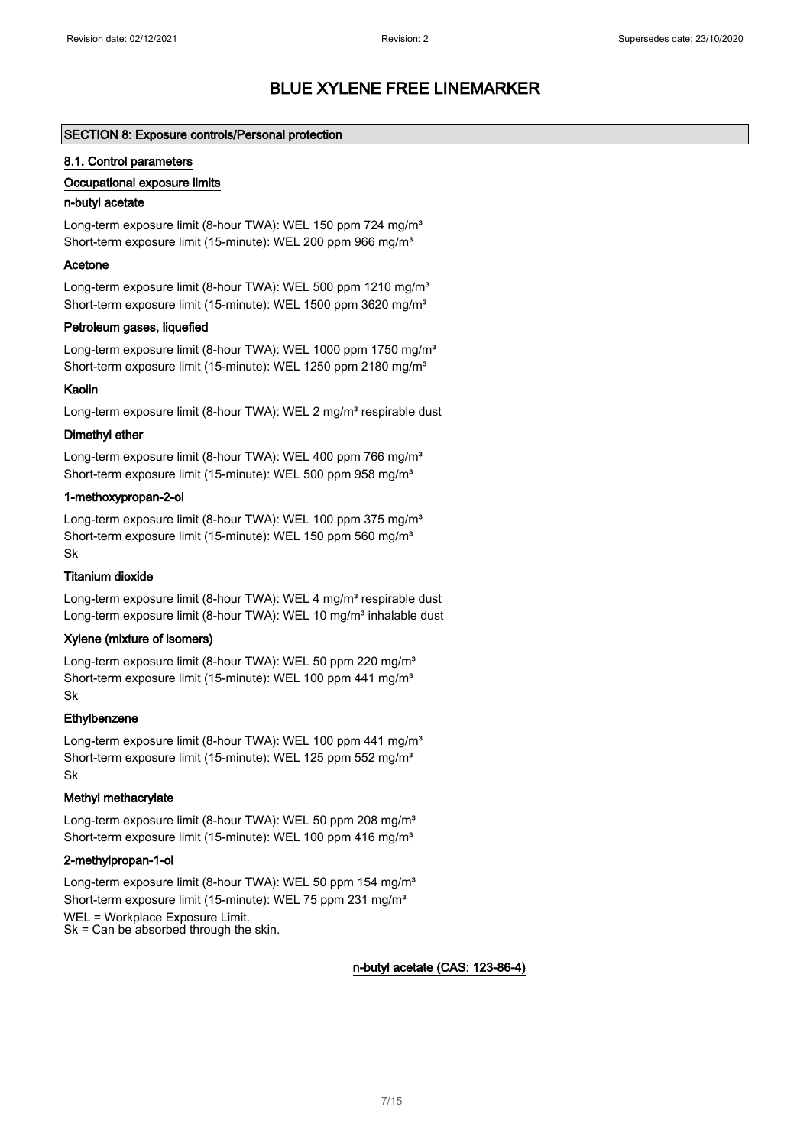#### SECTION 8: Exposure controls/Personal protection

#### 8.1. Control parameters

#### Occupational exposure limits

#### n-butyl acetate

Long-term exposure limit (8-hour TWA): WEL 150 ppm 724 mg/m<sup>3</sup> Short-term exposure limit (15-minute): WEL 200 ppm 966 mg/m<sup>3</sup>

#### Acetone

Long-term exposure limit (8-hour TWA): WEL 500 ppm 1210 mg/m<sup>3</sup> Short-term exposure limit (15-minute): WEL 1500 ppm 3620 mg/m<sup>3</sup>

#### Petroleum gases, liquefied

Long-term exposure limit (8-hour TWA): WEL 1000 ppm 1750 mg/m<sup>3</sup> Short-term exposure limit (15-minute): WEL 1250 ppm 2180 mg/m<sup>3</sup>

#### Kaolin

Long-term exposure limit (8-hour TWA): WEL 2 mg/m<sup>3</sup> respirable dust

#### Dimethyl ether

Long-term exposure limit (8-hour TWA): WEL 400 ppm 766 mg/m<sup>3</sup> Short-term exposure limit (15-minute): WEL 500 ppm 958 mg/m<sup>3</sup>

#### 1-methoxypropan-2-ol

Long-term exposure limit (8-hour TWA): WEL 100 ppm 375 mg/m<sup>3</sup> Short-term exposure limit (15-minute): WEL 150 ppm 560 mg/m<sup>3</sup> Sk

#### Titanium dioxide

Long-term exposure limit (8-hour TWA): WEL 4 mg/m<sup>3</sup> respirable dust Long-term exposure limit (8-hour TWA): WEL 10 mg/m<sup>3</sup> inhalable dust

#### Xylene (mixture of isomers)

Long-term exposure limit (8-hour TWA): WEL 50 ppm 220 mg/m<sup>3</sup> Short-term exposure limit (15-minute): WEL 100 ppm 441 mg/m<sup>3</sup> Sk

#### **Ethylbenzene**

Long-term exposure limit (8-hour TWA): WEL 100 ppm 441 mg/m<sup>3</sup> Short-term exposure limit (15-minute): WEL 125 ppm 552 mg/m<sup>3</sup> Sk

#### Methyl methacrylate

Long-term exposure limit (8-hour TWA): WEL 50 ppm 208 mg/m<sup>3</sup> Short-term exposure limit (15-minute): WEL 100 ppm 416 mg/m<sup>3</sup>

#### 2-methylpropan-1-ol

Long-term exposure limit (8-hour TWA): WEL 50 ppm 154 mg/m<sup>3</sup> Short-term exposure limit (15-minute): WEL 75 ppm 231 mg/m<sup>3</sup> WEL = Workplace Exposure Limit. Sk = Can be absorbed through the skin.

#### n-butyl acetate (CAS: 123-86-4)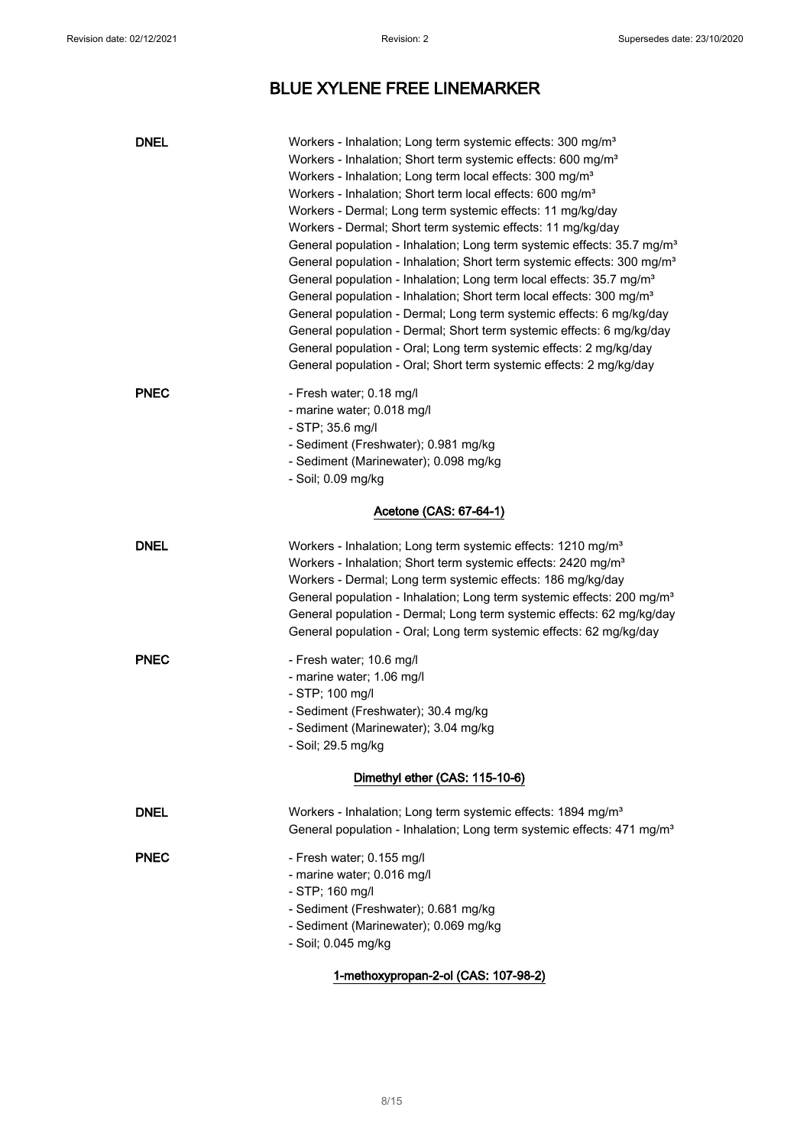| <b>DNEL</b>                    | Workers - Inhalation; Long term systemic effects: 300 mg/m <sup>3</sup><br>Workers - Inhalation; Short term systemic effects: 600 mg/m <sup>3</sup><br>Workers - Inhalation; Long term local effects: 300 mg/m <sup>3</sup><br>Workers - Inhalation; Short term local effects: 600 mg/m <sup>3</sup><br>Workers - Dermal; Long term systemic effects: 11 mg/kg/day<br>Workers - Dermal; Short term systemic effects: 11 mg/kg/day<br>General population - Inhalation; Long term systemic effects: 35.7 mg/m <sup>3</sup><br>General population - Inhalation; Short term systemic effects: 300 mg/m <sup>3</sup><br>General population - Inhalation; Long term local effects: 35.7 mg/m <sup>3</sup><br>General population - Inhalation; Short term local effects: 300 mg/m <sup>3</sup><br>General population - Dermal; Long term systemic effects: 6 mg/kg/day<br>General population - Dermal; Short term systemic effects: 6 mg/kg/day<br>General population - Oral; Long term systemic effects: 2 mg/kg/day<br>General population - Oral; Short term systemic effects: 2 mg/kg/day |
|--------------------------------|---------------------------------------------------------------------------------------------------------------------------------------------------------------------------------------------------------------------------------------------------------------------------------------------------------------------------------------------------------------------------------------------------------------------------------------------------------------------------------------------------------------------------------------------------------------------------------------------------------------------------------------------------------------------------------------------------------------------------------------------------------------------------------------------------------------------------------------------------------------------------------------------------------------------------------------------------------------------------------------------------------------------------------------------------------------------------------------|
| <b>PNEC</b>                    | - Fresh water; 0.18 mg/l<br>- marine water; 0.018 mg/l<br>- STP; 35.6 mg/l<br>- Sediment (Freshwater); 0.981 mg/kg<br>- Sediment (Marinewater); 0.098 mg/kg<br>- Soil; 0.09 mg/kg                                                                                                                                                                                                                                                                                                                                                                                                                                                                                                                                                                                                                                                                                                                                                                                                                                                                                                     |
|                                | Acetone (CAS: 67-64-1)                                                                                                                                                                                                                                                                                                                                                                                                                                                                                                                                                                                                                                                                                                                                                                                                                                                                                                                                                                                                                                                                |
| <b>DNEL</b>                    | Workers - Inhalation; Long term systemic effects: 1210 mg/m <sup>3</sup><br>Workers - Inhalation; Short term systemic effects: 2420 mg/m <sup>3</sup><br>Workers - Dermal; Long term systemic effects: 186 mg/kg/day<br>General population - Inhalation; Long term systemic effects: 200 mg/m <sup>3</sup><br>General population - Dermal; Long term systemic effects: 62 mg/kg/day<br>General population - Oral; Long term systemic effects: 62 mg/kg/day                                                                                                                                                                                                                                                                                                                                                                                                                                                                                                                                                                                                                            |
| <b>PNEC</b>                    | - Fresh water; 10.6 mg/l<br>- marine water; 1.06 mg/l<br>- STP; 100 mg/l<br>- Sediment (Freshwater); 30.4 mg/kg<br>- Sediment (Marinewater); 3.04 mg/kg<br>Soil; 29.5 mg/kg                                                                                                                                                                                                                                                                                                                                                                                                                                                                                                                                                                                                                                                                                                                                                                                                                                                                                                           |
| Dimethyl ether (CAS: 115-10-6) |                                                                                                                                                                                                                                                                                                                                                                                                                                                                                                                                                                                                                                                                                                                                                                                                                                                                                                                                                                                                                                                                                       |
| <b>DNEL</b>                    | Workers - Inhalation; Long term systemic effects: 1894 mg/m <sup>3</sup><br>General population - Inhalation; Long term systemic effects: 471 mg/m <sup>3</sup>                                                                                                                                                                                                                                                                                                                                                                                                                                                                                                                                                                                                                                                                                                                                                                                                                                                                                                                        |
| <b>PNEC</b>                    | - Fresh water; 0.155 mg/l<br>- marine water; 0.016 mg/l<br>- STP; 160 mg/l<br>- Sediment (Freshwater); 0.681 mg/kg<br>- Sediment (Marinewater); 0.069 mg/kg<br>- Soil; 0.045 mg/kg                                                                                                                                                                                                                                                                                                                                                                                                                                                                                                                                                                                                                                                                                                                                                                                                                                                                                                    |

### 1-methoxypropan-2-ol (CAS: 107-98-2)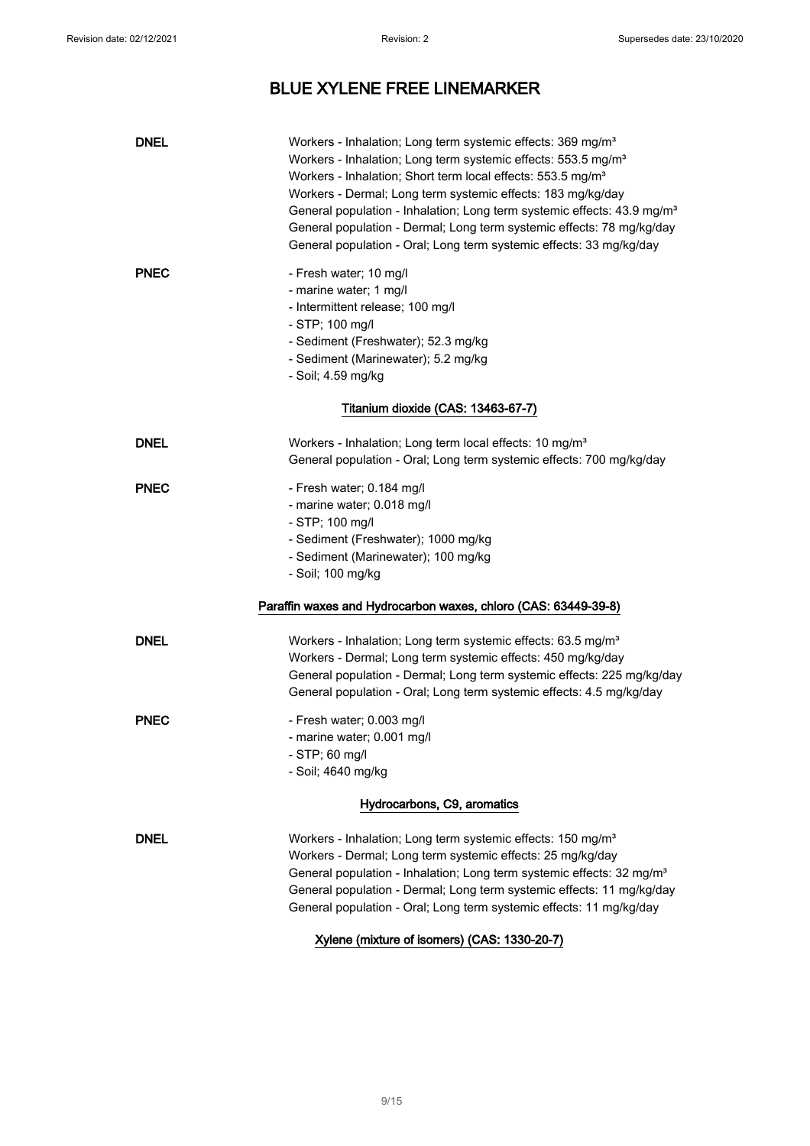| <b>DNEL</b>                 | Workers - Inhalation; Long term systemic effects: 369 mg/m <sup>3</sup><br>Workers - Inhalation; Long term systemic effects: 553.5 mg/m <sup>3</sup><br>Workers - Inhalation; Short term local effects: 553.5 mg/m <sup>3</sup><br>Workers - Dermal; Long term systemic effects: 183 mg/kg/day<br>General population - Inhalation; Long term systemic effects: 43.9 mg/m <sup>3</sup><br>General population - Dermal; Long term systemic effects: 78 mg/kg/day<br>General population - Oral; Long term systemic effects: 33 mg/kg/day |
|-----------------------------|---------------------------------------------------------------------------------------------------------------------------------------------------------------------------------------------------------------------------------------------------------------------------------------------------------------------------------------------------------------------------------------------------------------------------------------------------------------------------------------------------------------------------------------|
| <b>PNEC</b>                 | - Fresh water; 10 mg/l<br>- marine water; 1 mg/l<br>- Intermittent release; 100 mg/l<br>- STP; 100 mg/l<br>- Sediment (Freshwater); 52.3 mg/kg<br>- Sediment (Marinewater); 5.2 mg/kg<br>- Soil; 4.59 mg/kg<br>Titanium dioxide (CAS: 13463-67-7)                                                                                                                                                                                                                                                                                     |
|                             |                                                                                                                                                                                                                                                                                                                                                                                                                                                                                                                                       |
| <b>DNEL</b>                 | Workers - Inhalation; Long term local effects: 10 mg/m <sup>3</sup><br>General population - Oral; Long term systemic effects: 700 mg/kg/day                                                                                                                                                                                                                                                                                                                                                                                           |
| <b>PNEC</b>                 | - Fresh water; 0.184 mg/l<br>- marine water; 0.018 mg/l<br>- STP; 100 mg/l<br>- Sediment (Freshwater); 1000 mg/kg<br>- Sediment (Marinewater); 100 mg/kg<br>- Soil; 100 mg/kg<br>Paraffin waxes and Hydrocarbon waxes, chloro (CAS: 63449-39-8)                                                                                                                                                                                                                                                                                       |
|                             |                                                                                                                                                                                                                                                                                                                                                                                                                                                                                                                                       |
| <b>DNEL</b>                 | Workers - Inhalation; Long term systemic effects: 63.5 mg/m <sup>3</sup><br>Workers - Dermal; Long term systemic effects: 450 mg/kg/day<br>General population - Dermal; Long term systemic effects: 225 mg/kg/day<br>General population - Oral; Long term systemic effects: 4.5 mg/kg/day                                                                                                                                                                                                                                             |
| <b>PNEC</b>                 | - Fresh water; 0.003 mg/l<br>- marine water; 0.001 mg/l<br>- STP; 60 mg/l<br>- Soil; 4640 mg/kg                                                                                                                                                                                                                                                                                                                                                                                                                                       |
| Hydrocarbons, C9, aromatics |                                                                                                                                                                                                                                                                                                                                                                                                                                                                                                                                       |
| <b>DNEL</b>                 | Workers - Inhalation; Long term systemic effects: 150 mg/m <sup>3</sup><br>Workers - Dermal; Long term systemic effects: 25 mg/kg/day<br>General population - Inhalation; Long term systemic effects: 32 mg/m <sup>3</sup><br>General population - Dermal; Long term systemic effects: 11 mg/kg/day<br>General population - Oral; Long term systemic effects: 11 mg/kg/day                                                                                                                                                            |

Xylene (mixture of isomers) (CAS: 1330-20-7)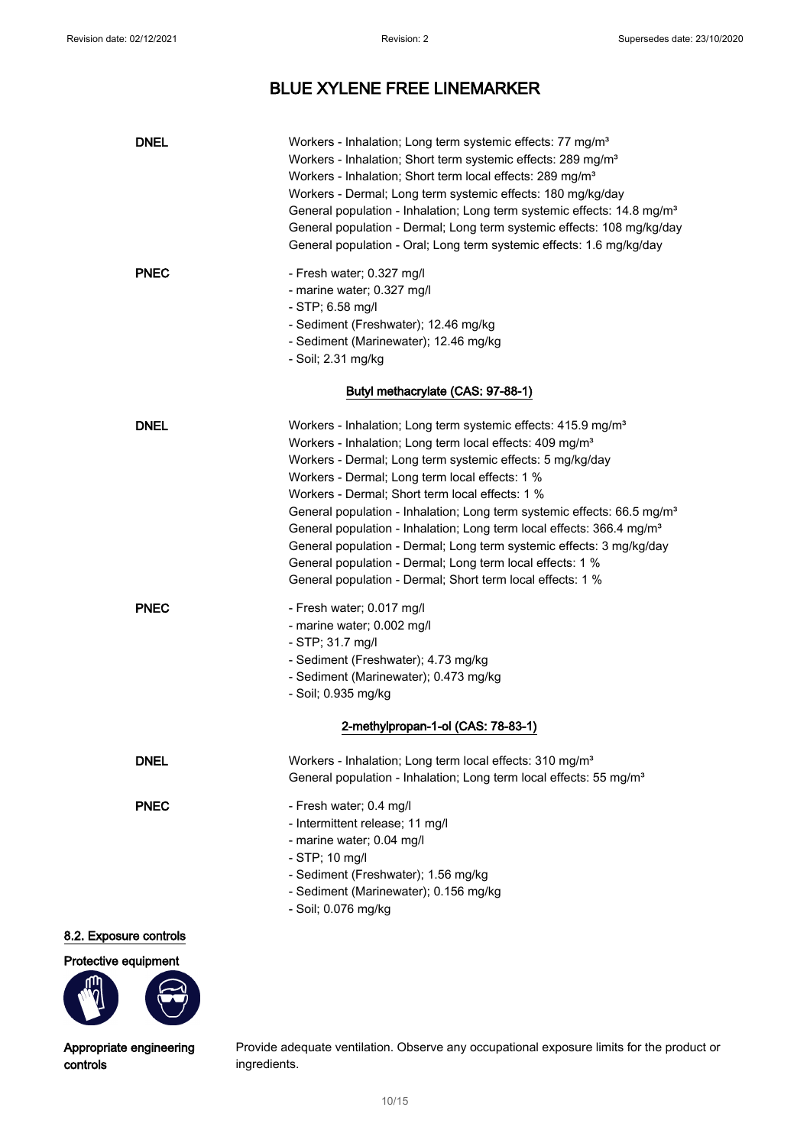| <b>PNEC</b><br>- Fresh water; 0.327 mg/l<br>- marine water; 0.327 mg/l<br>- STP; 6.58 mg/l<br>- Sediment (Freshwater); 12.46 mg/kg<br>- Sediment (Marinewater); 12.46 mg/kg<br>- Soil; 2.31 mg/kg<br>Butyl methacrylate (CAS: 97-88-1)<br><b>DNEL</b><br>Workers - Inhalation; Long term systemic effects: 415.9 mg/m <sup>3</sup><br>Workers - Inhalation; Long term local effects: 409 mg/m <sup>3</sup><br>Workers - Dermal; Long term systemic effects: 5 mg/kg/day<br>Workers - Dermal; Long term local effects: 1 %<br>Workers - Dermal; Short term local effects: 1 %<br>General population - Inhalation; Long term systemic effects: 66.5 mg/m <sup>3</sup><br>General population - Inhalation; Long term local effects: 366.4 mg/m <sup>3</sup><br>General population - Dermal; Long term systemic effects: 3 mg/kg/day<br>General population - Dermal; Long term local effects: 1 %<br>General population - Dermal; Short term local effects: 1 %<br><b>PNEC</b><br>- Fresh water; 0.017 mg/l<br>- marine water; 0.002 mg/l<br>$-$ STP; 31.7 mg/l<br>- Sediment (Freshwater); 4.73 mg/kg<br>- Sediment (Marinewater); 0.473 mg/kg<br>- Soil; 0.935 mg/kg<br>2-methylpropan-1-ol (CAS: 78-83-1)<br><b>DNEL</b><br>Workers - Inhalation; Long term local effects: 310 mg/m <sup>3</sup><br>General population - Inhalation; Long term local effects: 55 mg/m <sup>3</sup><br><b>PNEC</b><br>- Fresh water; 0.4 mg/l<br>- Intermittent release; 11 mg/l<br>- marine water; 0.04 mg/l<br>$-$ STP; 10 mg/l | General population - Inhalation; Long term systemic effects: 14.8 mg/m <sup>3</sup><br>General population - Dermal; Long term systemic effects: 108 mg/kg/day<br>General population - Oral; Long term systemic effects: 1.6 mg/kg/day |
|-----------------------------------------------------------------------------------------------------------------------------------------------------------------------------------------------------------------------------------------------------------------------------------------------------------------------------------------------------------------------------------------------------------------------------------------------------------------------------------------------------------------------------------------------------------------------------------------------------------------------------------------------------------------------------------------------------------------------------------------------------------------------------------------------------------------------------------------------------------------------------------------------------------------------------------------------------------------------------------------------------------------------------------------------------------------------------------------------------------------------------------------------------------------------------------------------------------------------------------------------------------------------------------------------------------------------------------------------------------------------------------------------------------------------------------------------------------------------------------------------------------------|---------------------------------------------------------------------------------------------------------------------------------------------------------------------------------------------------------------------------------------|
|                                                                                                                                                                                                                                                                                                                                                                                                                                                                                                                                                                                                                                                                                                                                                                                                                                                                                                                                                                                                                                                                                                                                                                                                                                                                                                                                                                                                                                                                                                                 |                                                                                                                                                                                                                                       |
|                                                                                                                                                                                                                                                                                                                                                                                                                                                                                                                                                                                                                                                                                                                                                                                                                                                                                                                                                                                                                                                                                                                                                                                                                                                                                                                                                                                                                                                                                                                 |                                                                                                                                                                                                                                       |
|                                                                                                                                                                                                                                                                                                                                                                                                                                                                                                                                                                                                                                                                                                                                                                                                                                                                                                                                                                                                                                                                                                                                                                                                                                                                                                                                                                                                                                                                                                                 |                                                                                                                                                                                                                                       |
|                                                                                                                                                                                                                                                                                                                                                                                                                                                                                                                                                                                                                                                                                                                                                                                                                                                                                                                                                                                                                                                                                                                                                                                                                                                                                                                                                                                                                                                                                                                 |                                                                                                                                                                                                                                       |
|                                                                                                                                                                                                                                                                                                                                                                                                                                                                                                                                                                                                                                                                                                                                                                                                                                                                                                                                                                                                                                                                                                                                                                                                                                                                                                                                                                                                                                                                                                                 |                                                                                                                                                                                                                                       |
|                                                                                                                                                                                                                                                                                                                                                                                                                                                                                                                                                                                                                                                                                                                                                                                                                                                                                                                                                                                                                                                                                                                                                                                                                                                                                                                                                                                                                                                                                                                 |                                                                                                                                                                                                                                       |
| - Sediment (Freshwater); 1.56 mg/kg<br>- Sediment (Marinewater); 0.156 mg/kg<br>- Soil; 0.076 mg/kg                                                                                                                                                                                                                                                                                                                                                                                                                                                                                                                                                                                                                                                                                                                                                                                                                                                                                                                                                                                                                                                                                                                                                                                                                                                                                                                                                                                                             |                                                                                                                                                                                                                                       |

### 8.2. Exposure controls

Protective equipment



Appropriate engineering controls

Provide adequate ventilation. Observe any occupational exposure limits for the product or ingredients.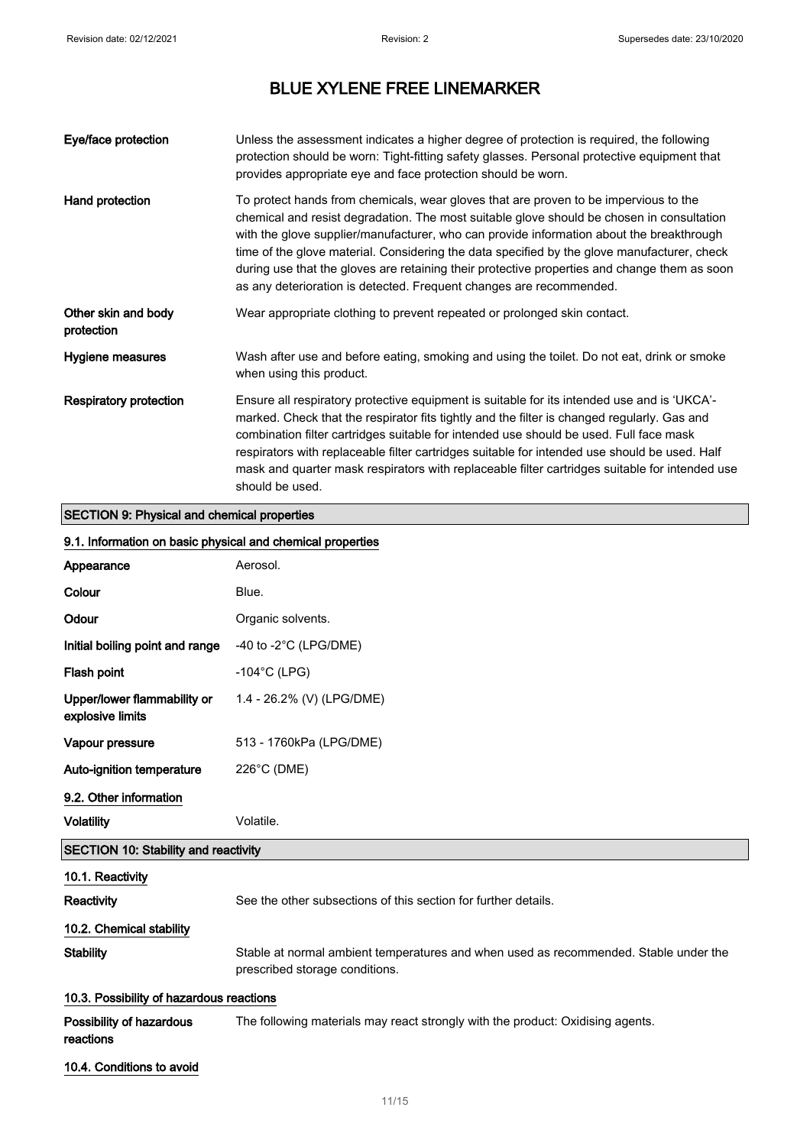| Eye/face protection               | Unless the assessment indicates a higher degree of protection is required, the following<br>protection should be worn: Tight-fitting safety glasses. Personal protective equipment that<br>provides appropriate eye and face protection should be worn.                                                                                                                                                                                                                                                                                             |
|-----------------------------------|-----------------------------------------------------------------------------------------------------------------------------------------------------------------------------------------------------------------------------------------------------------------------------------------------------------------------------------------------------------------------------------------------------------------------------------------------------------------------------------------------------------------------------------------------------|
| Hand protection                   | To protect hands from chemicals, wear gloves that are proven to be impervious to the<br>chemical and resist degradation. The most suitable glove should be chosen in consultation<br>with the glove supplier/manufacturer, who can provide information about the breakthrough<br>time of the glove material. Considering the data specified by the glove manufacturer, check<br>during use that the gloves are retaining their protective properties and change them as soon<br>as any deterioration is detected. Frequent changes are recommended. |
| Other skin and body<br>protection | Wear appropriate clothing to prevent repeated or prolonged skin contact.                                                                                                                                                                                                                                                                                                                                                                                                                                                                            |
| Hygiene measures                  | Wash after use and before eating, smoking and using the toilet. Do not eat, drink or smoke<br>when using this product.                                                                                                                                                                                                                                                                                                                                                                                                                              |
| <b>Respiratory protection</b>     | Ensure all respiratory protective equipment is suitable for its intended use and is 'UKCA'-<br>marked. Check that the respirator fits tightly and the filter is changed regularly. Gas and<br>combination filter cartridges suitable for intended use should be used. Full face mask<br>respirators with replaceable filter cartridges suitable for intended use should be used. Half<br>mask and quarter mask respirators with replaceable filter cartridges suitable for intended use<br>should be used.                                          |

## SECTION 9: Physical and chemical properties

### 9.1. Information on basic physical and chemical properties

| Appearance                                      | Aerosol.                                                                                                               |
|-------------------------------------------------|------------------------------------------------------------------------------------------------------------------------|
| Colour                                          | Blue.                                                                                                                  |
| Odour                                           | Organic solvents.                                                                                                      |
| Initial boiling point and range                 | -40 to -2 $^{\circ}$ C (LPG/DME)                                                                                       |
| Flash point                                     | $-104$ °C (LPG)                                                                                                        |
| Upper/lower flammability or<br>explosive limits | 1.4 - 26.2% (V) (LPG/DME)                                                                                              |
| Vapour pressure                                 | 513 - 1760kPa (LPG/DME)                                                                                                |
| Auto-ignition temperature                       | 226°C (DME)                                                                                                            |
| 9.2. Other information                          |                                                                                                                        |
| <b>Volatility</b>                               | Volatile.                                                                                                              |
| <b>SECTION 10: Stability and reactivity</b>     |                                                                                                                        |
| 10.1. Reactivity                                |                                                                                                                        |
| <b>Reactivity</b>                               | See the other subsections of this section for further details.                                                         |
| 10.2. Chemical stability                        |                                                                                                                        |
| <b>Stability</b>                                | Stable at normal ambient temperatures and when used as recommended. Stable under the<br>prescribed storage conditions. |
| 10.3. Possibility of hazardous reactions        |                                                                                                                        |
| Possibility of hazardous<br>reactions           | The following materials may react strongly with the product: Oxidising agents.                                         |
| 10.4. Conditions to avoid                       |                                                                                                                        |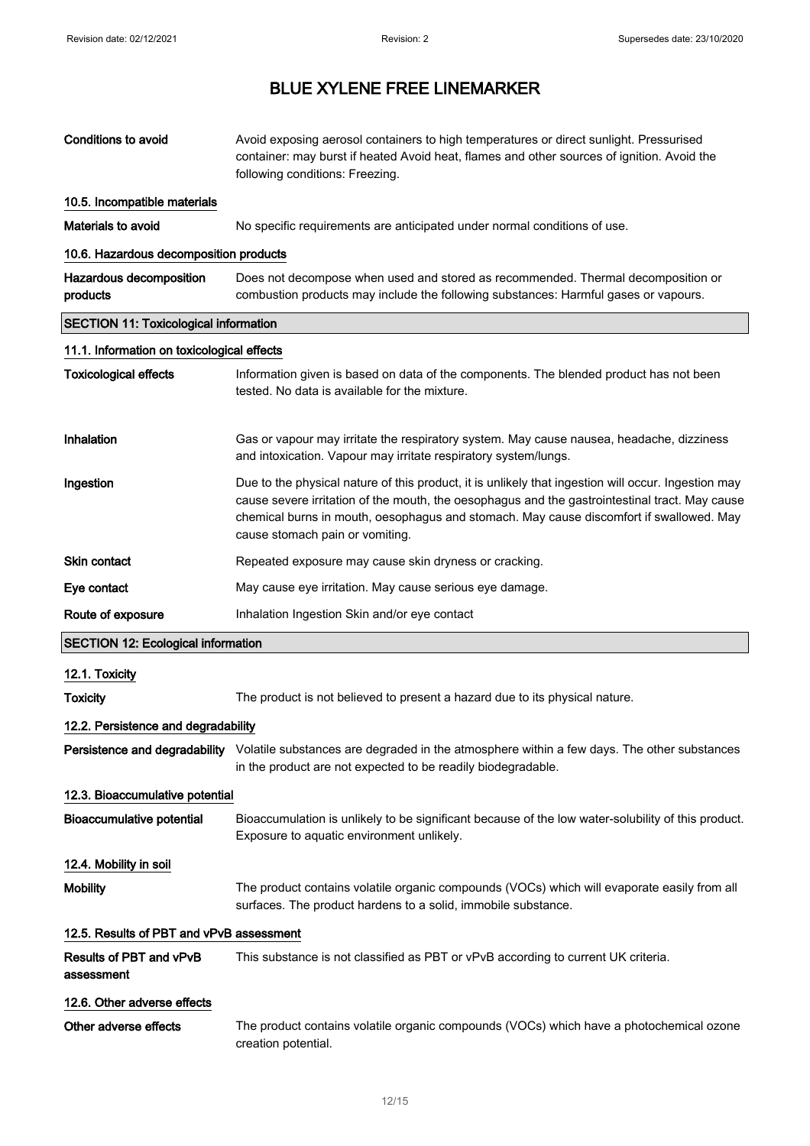| <b>Conditions to avoid</b>                   | Avoid exposing aerosol containers to high temperatures or direct sunlight. Pressurised<br>container: may burst if heated Avoid heat, flames and other sources of ignition. Avoid the<br>following conditions: Freezing.                                                                                                             |  |  |
|----------------------------------------------|-------------------------------------------------------------------------------------------------------------------------------------------------------------------------------------------------------------------------------------------------------------------------------------------------------------------------------------|--|--|
| 10.5. Incompatible materials                 |                                                                                                                                                                                                                                                                                                                                     |  |  |
| Materials to avoid                           | No specific requirements are anticipated under normal conditions of use.                                                                                                                                                                                                                                                            |  |  |
| 10.6. Hazardous decomposition products       |                                                                                                                                                                                                                                                                                                                                     |  |  |
| Hazardous decomposition<br>products          | Does not decompose when used and stored as recommended. Thermal decomposition or<br>combustion products may include the following substances: Harmful gases or vapours.                                                                                                                                                             |  |  |
| <b>SECTION 11: Toxicological information</b> |                                                                                                                                                                                                                                                                                                                                     |  |  |
| 11.1. Information on toxicological effects   |                                                                                                                                                                                                                                                                                                                                     |  |  |
| <b>Toxicological effects</b>                 | Information given is based on data of the components. The blended product has not been<br>tested. No data is available for the mixture.                                                                                                                                                                                             |  |  |
| Inhalation                                   | Gas or vapour may irritate the respiratory system. May cause nausea, headache, dizziness<br>and intoxication. Vapour may irritate respiratory system/lungs.                                                                                                                                                                         |  |  |
| Ingestion                                    | Due to the physical nature of this product, it is unlikely that ingestion will occur. Ingestion may<br>cause severe irritation of the mouth, the oesophagus and the gastrointestinal tract. May cause<br>chemical burns in mouth, oesophagus and stomach. May cause discomfort if swallowed. May<br>cause stomach pain or vomiting. |  |  |
| <b>Skin contact</b>                          | Repeated exposure may cause skin dryness or cracking.                                                                                                                                                                                                                                                                               |  |  |
| Eye contact                                  | May cause eye irritation. May cause serious eye damage.                                                                                                                                                                                                                                                                             |  |  |
|                                              |                                                                                                                                                                                                                                                                                                                                     |  |  |
| Route of exposure                            | Inhalation Ingestion Skin and/or eye contact                                                                                                                                                                                                                                                                                        |  |  |
| <b>SECTION 12: Ecological information</b>    |                                                                                                                                                                                                                                                                                                                                     |  |  |
| 12.1. Toxicity                               |                                                                                                                                                                                                                                                                                                                                     |  |  |
| <b>Toxicity</b>                              | The product is not believed to present a hazard due to its physical nature.                                                                                                                                                                                                                                                         |  |  |
| 12.2. Persistence and degradability          |                                                                                                                                                                                                                                                                                                                                     |  |  |
|                                              | Persistence and degradability Volatile substances are degraded in the atmosphere within a few days. The other substances<br>in the product are not expected to be readily biodegradable.                                                                                                                                            |  |  |
| 12.3. Bioaccumulative potential              |                                                                                                                                                                                                                                                                                                                                     |  |  |
| <b>Bioaccumulative potential</b>             | Bioaccumulation is unlikely to be significant because of the low water-solubility of this product.<br>Exposure to aquatic environment unlikely.                                                                                                                                                                                     |  |  |
| 12.4. Mobility in soil                       |                                                                                                                                                                                                                                                                                                                                     |  |  |
| <b>Mobility</b>                              | The product contains volatile organic compounds (VOCs) which will evaporate easily from all<br>surfaces. The product hardens to a solid, immobile substance.                                                                                                                                                                        |  |  |
| 12.5. Results of PBT and vPvB assessment     |                                                                                                                                                                                                                                                                                                                                     |  |  |
| Results of PBT and vPvB<br>assessment        | This substance is not classified as PBT or vPvB according to current UK criteria.                                                                                                                                                                                                                                                   |  |  |
| 12.6. Other adverse effects                  |                                                                                                                                                                                                                                                                                                                                     |  |  |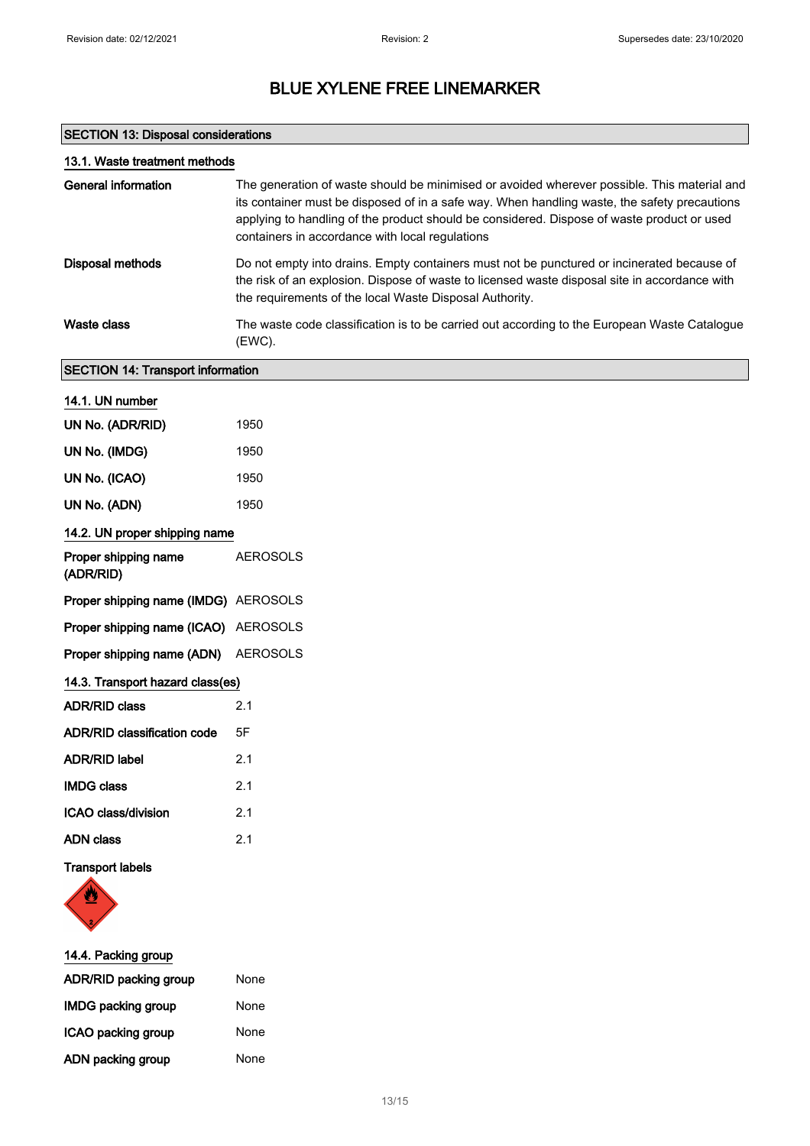## SECTION 13: Disposal considerations

| 13.1. Waste treatment methods            |                                                                                                                                                                                                                                                                                                                                              |  |
|------------------------------------------|----------------------------------------------------------------------------------------------------------------------------------------------------------------------------------------------------------------------------------------------------------------------------------------------------------------------------------------------|--|
| <b>General information</b>               | The generation of waste should be minimised or avoided wherever possible. This material and<br>its container must be disposed of in a safe way. When handling waste, the safety precautions<br>applying to handling of the product should be considered. Dispose of waste product or used<br>containers in accordance with local regulations |  |
| Disposal methods                         | Do not empty into drains. Empty containers must not be punctured or incinerated because of<br>the risk of an explosion. Dispose of waste to licensed waste disposal site in accordance with<br>the requirements of the local Waste Disposal Authority.                                                                                       |  |
| <b>Waste class</b>                       | The waste code classification is to be carried out according to the European Waste Catalogue<br>(EWC).                                                                                                                                                                                                                                       |  |
| <b>SECTION 14: Transport information</b> |                                                                                                                                                                                                                                                                                                                                              |  |
| 14.1. UN number                          |                                                                                                                                                                                                                                                                                                                                              |  |
| UN No. (ADR/RID)                         | 1950                                                                                                                                                                                                                                                                                                                                         |  |
| UN No. (IMDG)                            | 1950                                                                                                                                                                                                                                                                                                                                         |  |
| UN No. (ICAO)                            | 1950                                                                                                                                                                                                                                                                                                                                         |  |
| UN No. (ADN)                             | 1950                                                                                                                                                                                                                                                                                                                                         |  |
| 14.2. UN proper shipping name            |                                                                                                                                                                                                                                                                                                                                              |  |
| Proper shipping name<br>(ADR/RID)        | <b>AEROSOLS</b>                                                                                                                                                                                                                                                                                                                              |  |
| Proper shipping name (IMDG) AEROSOLS     |                                                                                                                                                                                                                                                                                                                                              |  |
| Proper shipping name (ICAO)              | AEROSOLS                                                                                                                                                                                                                                                                                                                                     |  |
| Proper shipping name (ADN)               | <b>AEROSOLS</b>                                                                                                                                                                                                                                                                                                                              |  |
| 14.3. Transport hazard class(es)         |                                                                                                                                                                                                                                                                                                                                              |  |
| <b>ADR/RID class</b>                     | 2.1                                                                                                                                                                                                                                                                                                                                          |  |
| ADR/RID classification code              | 5F                                                                                                                                                                                                                                                                                                                                           |  |
| <b>ADR/RID label</b>                     | 2.1                                                                                                                                                                                                                                                                                                                                          |  |
| <b>IMDG class</b>                        | 2.1                                                                                                                                                                                                                                                                                                                                          |  |
| ICAO class/division                      | 2.1                                                                                                                                                                                                                                                                                                                                          |  |
| <b>ADN</b> class                         | 2.1                                                                                                                                                                                                                                                                                                                                          |  |
| <b>Transport labels</b>                  |                                                                                                                                                                                                                                                                                                                                              |  |
|                                          |                                                                                                                                                                                                                                                                                                                                              |  |

| 14.4. Packing group       |      |  |
|---------------------------|------|--|
| ADR/RID packing group     | None |  |
| <b>IMDG packing group</b> | None |  |
| ICAO packing group        | None |  |
| ADN packing group         | None |  |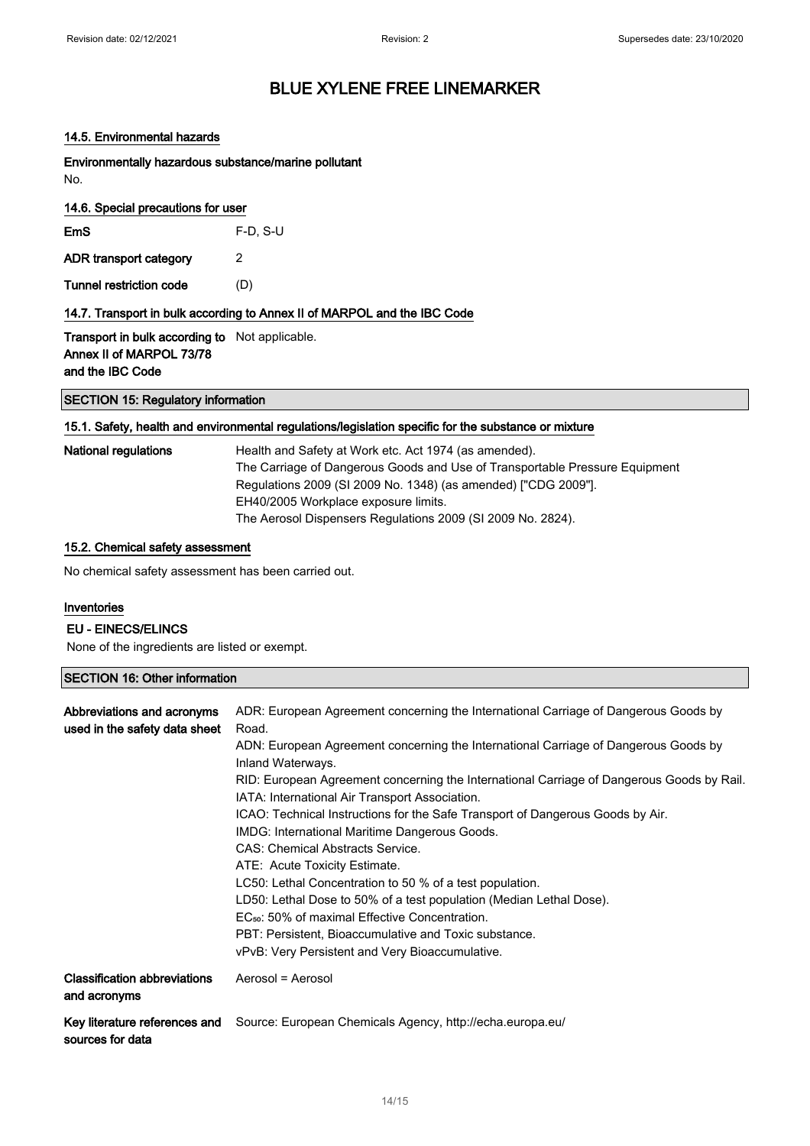#### 14.5. Environmental hazards

Environmentally hazardous substance/marine pollutant No.

| 14.6. Special precautions for user                                                |            |  |
|-----------------------------------------------------------------------------------|------------|--|
| EmS                                                                               | $F-D. S-U$ |  |
| ADR transport category                                                            | 2          |  |
| Tunnel restriction code                                                           | (D)        |  |
| 14.7. Transport in bulk according to Annex II of MARPOL and the IBC Code          |            |  |
| <b>Transport in bulk according to</b> Not applicable.<br>Annoy II of MADDOL 72/70 |            |  |

Annex II of MARPOL 73/78 and the IBC Code

### SECTION 15: Regulatory information

### 15.1. Safety, health and environmental regulations/legislation specific for the substance or mixture

| <b>National regulations</b> | Health and Safety at Work etc. Act 1974 (as amended).                       |
|-----------------------------|-----------------------------------------------------------------------------|
|                             | The Carriage of Dangerous Goods and Use of Transportable Pressure Equipment |
|                             | Regulations 2009 (SI 2009 No. 1348) (as amended) ["CDG 2009"].              |
|                             | EH40/2005 Workplace exposure limits.                                        |
|                             | The Aerosol Dispensers Regulations 2009 (SI 2009 No. 2824).                 |

### 15.2. Chemical safety assessment

No chemical safety assessment has been carried out.

#### Inventories

#### EU - EINECS/ELINCS

None of the ingredients are listed or exempt.

### SECTION 16: Other information

| Abbreviations and acronyms<br>used in the safety data sheet | ADR: European Agreement concerning the International Carriage of Dangerous Goods by<br>Road.<br>ADN: European Agreement concerning the International Carriage of Dangerous Goods by<br>Inland Waterways.<br>RID: European Agreement concerning the International Carriage of Dangerous Goods by Rail.<br>IATA: International Air Transport Association.<br>ICAO: Technical Instructions for the Safe Transport of Dangerous Goods by Air.<br>IMDG: International Maritime Dangerous Goods.<br>CAS: Chemical Abstracts Service.<br>ATE: Acute Toxicity Estimate.<br>LC50: Lethal Concentration to 50 % of a test population.<br>LD50: Lethal Dose to 50% of a test population (Median Lethal Dose).<br>EC <sub>50</sub> : 50% of maximal Effective Concentration.<br>PBT: Persistent, Bioaccumulative and Toxic substance.<br>vPvB: Very Persistent and Very Bioaccumulative. |
|-------------------------------------------------------------|------------------------------------------------------------------------------------------------------------------------------------------------------------------------------------------------------------------------------------------------------------------------------------------------------------------------------------------------------------------------------------------------------------------------------------------------------------------------------------------------------------------------------------------------------------------------------------------------------------------------------------------------------------------------------------------------------------------------------------------------------------------------------------------------------------------------------------------------------------------------------|
| <b>Classification abbreviations</b><br>and acronyms         | Aerosol = Aerosol                                                                                                                                                                                                                                                                                                                                                                                                                                                                                                                                                                                                                                                                                                                                                                                                                                                            |
| Key literature references and<br>sources for data           | Source: European Chemicals Agency, http://echa.europa.eu/                                                                                                                                                                                                                                                                                                                                                                                                                                                                                                                                                                                                                                                                                                                                                                                                                    |